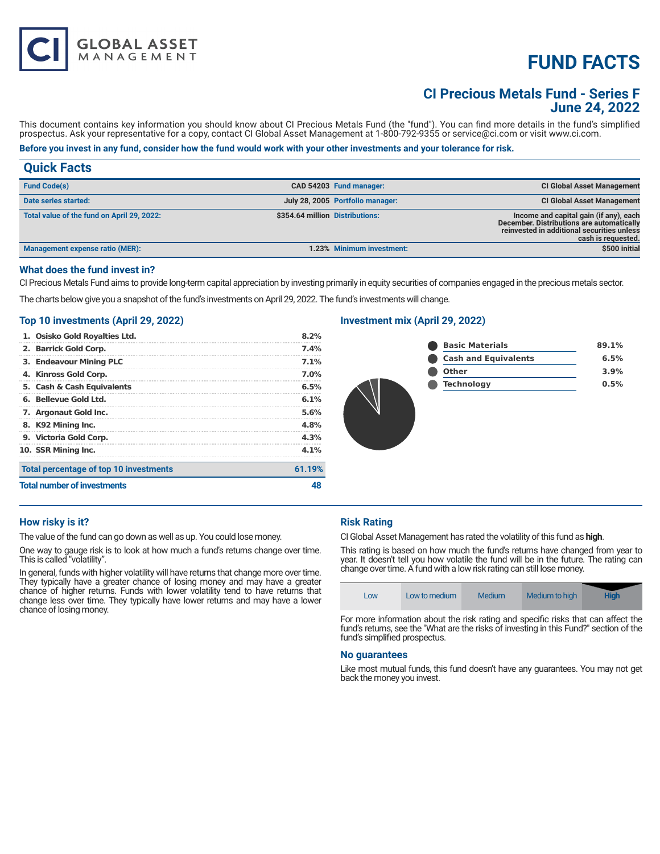# **FUND FACTS**

# **CI Precious Metals Fund - Series F June 24, 2022**

This document contains key information you should know about CI Precious Metals Fund (the "fund"). You can find more details in the fund's simplified prospectus. Ask your representative for a copy, contact CI Global Asset Management at 1-800-792-9355 or service@ci.com or visit www.ci.com.

# **Before you invest in any fund, consider how the fund would work with your other investments and your tolerance for risk.**

| <b>Quick Facts</b>                         |                                 |                                  |                                                                                                                                                         |
|--------------------------------------------|---------------------------------|----------------------------------|---------------------------------------------------------------------------------------------------------------------------------------------------------|
| <b>Fund Code(s)</b>                        |                                 | CAD 54203 Fund manager:          | <b>CI Global Asset Management</b>                                                                                                                       |
| Date series started:                       |                                 | July 28, 2005 Portfolio manager: | <b>CI Global Asset Management</b>                                                                                                                       |
| Total value of the fund on April 29, 2022: | \$354.64 million Distributions: |                                  | Income and capital gain (if any), each<br>December. Distributions are automatically<br>reinvested in additional securities unless<br>cash is requested. |
| Management expense ratio (MER):            |                                 | 1.23% Minimum investment:        | \$500 initial                                                                                                                                           |

#### **What does the fund invest in?**

CI Precious Metals Fund aims to provide long-term capital appreciation by investing primarily in equity securities of companies engaged in the precious metals sector.

The charts below give you a snapshot of the fund's investments on April 29, 2022. The fund's investments will change.

#### **Top 10 investments (April 29, 2022)**

**GLOBAL ASSET**<br>MANAGEMENT

| 1. Osisko Gold Royalties Ltd.          | 8.2%    |
|----------------------------------------|---------|
| 2. Barrick Gold Corp.                  | 7.4%    |
| 3. Endeavour Mining PLC                | 7.1%    |
| 4. Kinross Gold Corp.                  | 7.0%    |
| 5. Cash & Cash Equivalents             | 6.5%    |
| 6. Bellevue Gold Ltd.                  | 6.1%    |
| 7. Argonaut Gold Inc.                  | 5.6%    |
| 8. K92 Mining Inc.                     | 4.8%    |
| 9. Victoria Gold Corp.                 | 4.3%    |
| 10. SSR Mining Inc.                    | $4.1\%$ |
| Total percentage of top 10 investments | 61.19%  |
| <b>Total number of investments</b>     |         |

# **Investment mix (April 29, 2022)**

| <b>Basic Materials</b>      | 89.1% |
|-----------------------------|-------|
| <b>Cash and Equivalents</b> | 6.5%  |
| <b>Other</b>                | 3.9%  |
| <b>Technology</b>           | 0.5%  |
|                             |       |

#### **How risky is it?**

The value of the fund can go down as well as up. You could lose money.

One way to gauge risk is to look at how much a fund's returns change over time. This is called "volatility".

In general, funds with higher volatility will have returns that change more over time. They typically have a greater chance of losing money and may have a greater chance of higher returns. Funds with lower volatility tend to have returns that change less over time. They typically have lower returns and may have a lower chance of losing money.

# **Risk Rating**

CI Global Asset Management has rated the volatility of this fund as **high**.

This rating is based on how much the fund's returns have changed from year to year. It doesn't tell you how volatile the fund will be in the future. The rating can change over time. A fund with a low risk rating can still lose money.

| Low | Low to medium | Medium | Medium to high | <b>High</b> |
|-----|---------------|--------|----------------|-------------|
|     |               |        |                | $-$         |

For more information about the risk rating and specific risks that can affect the fund's returns, see the "What are the risks of investing in this Fund?" section of the fund's simplified prospectus.

#### **No guarantees**

Like most mutual funds, this fund doesn't have any guarantees. You may not get back the money you invest.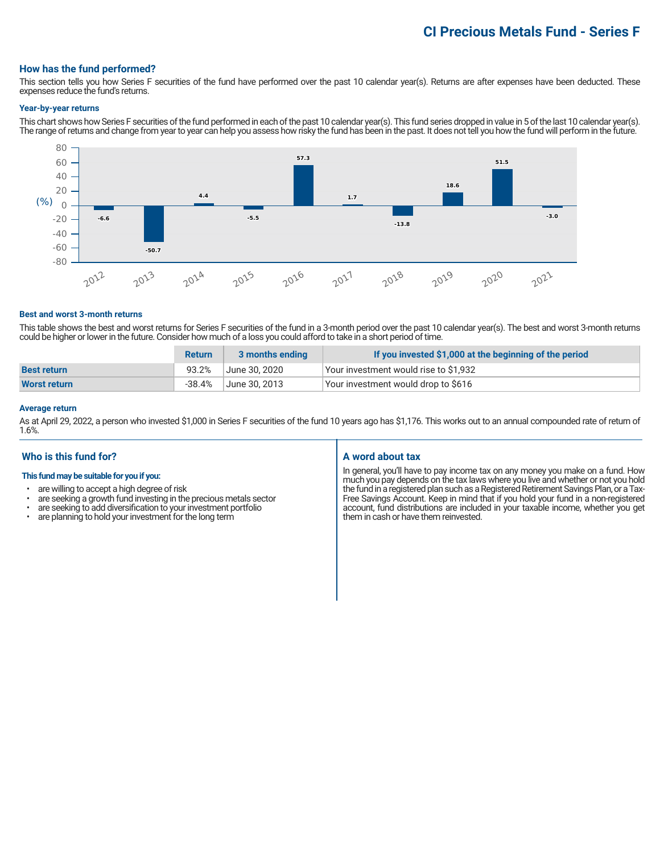# **CI Precious Metals Fund - Series F**

#### **How has the fund performed?**

This section tells you how Series F securities of the fund have performed over the past 10 calendar year(s). Returns are after expenses have been deducted. These expenses reduce the fund's returns.

#### **Year-by-year returns**

This chart shows how Series F securities of the fund performed in each of the past 10 calendar year(s). This fund series dropped in value in 5 of the last 10 calendar year(s). The range of returns and change from year to year can help you assess how risky the fund has been in the past. It does not tell you how the fund will perform in the future.



#### **Best and worst 3-month returns**

This table shows the best and worst returns for Series F securities of the fund in a 3-month period over the past 10 calendar year(s). The best and worst 3-month returns could be higher or lower in the future. Consider how much of a loss you could afford to take in a short period of time.

|                    | <b>Return</b> | 3 months ending | If you invested \$1,000 at the beginning of the period |
|--------------------|---------------|-----------------|--------------------------------------------------------|
| <b>Best return</b> | 93.2%         | June 30. 2020   | Your investment would rise to \$1,932                  |
| Worst return       | -38.4%        | June 30, 2013   | Your investment would drop to \$616                    |

#### **Average return**

As at April 29, 2022, a person who invested \$1,000 in Series F securities of the fund 10 years ago has \$1,176. This works out to an annual compounded rate of return of 1.6%.

# **Who is this fund for?**

#### **This fund may be suitable for you if you:**

- are willing to accept a high degree of risk
- are seeking a growth fund investing in the precious metals sector<br>• are seeking to add diversification to your investment portfolion
- are seeking to add diversification to your investment portfolio<br>• are planning to hold your investment for the long term
- are planning to hold your investment for the long term

# **A word about tax**

In general, you'll have to pay income tax on any money you make on a fund. How much you pay depends on the tax laws where you live and whether or not you hold the fund in a registered plan such as a Registered Retirement Savings Plan, or a Tax-Free Savings Account. Keep in mind that if you hold your fund in a non-registered account, fund distributions are included in your taxable income, whether you get them in cash or have them reinvested.